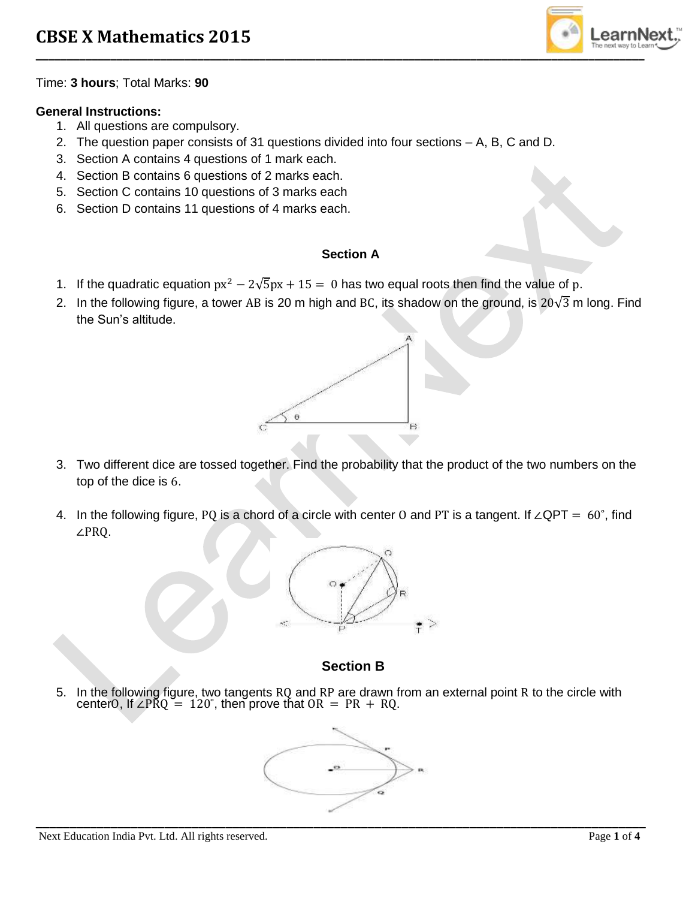

Time: **3 hours**; Total Marks: **90**

### **General Instructions:**

- 1. All questions are compulsory.
- 2. The question paper consists of 31 questions divided into four sections A, B, C and D.
- 3. Section A contains 4 questions of 1 mark each.
- 4. Section B contains 6 questions of 2 marks each.
- 5. Section C contains 10 questions of 3 marks each
- 6. Section D contains 11 questions of 4 marks each.

### **Section A**

- 1. If the quadratic equation  $px^2 2\sqrt{5}px + 15 = 0$  has two equal roots then find the value of p.
- 2. In the following figure, a tower AB is 20 m high and BC, its shadow on the ground, is  $20\sqrt{3}$  m long. Find the Sun's altitude.



- 3. Two different dice are tossed together. Find the probability that the product of the two numbers on the top of the dice is 6.
- 4. In the following figure, PQ is a chord of a circle with center O and PT is a tangent. If ∠QPT = 60˚, find ∠PRQ.



# **Section B**

5. In the following figure, two tangents RQ and RP are drawn from an external point R to the circle with centerO, If ∠PRQ = 120°, then prove that  $OR = PR + RQ$ .

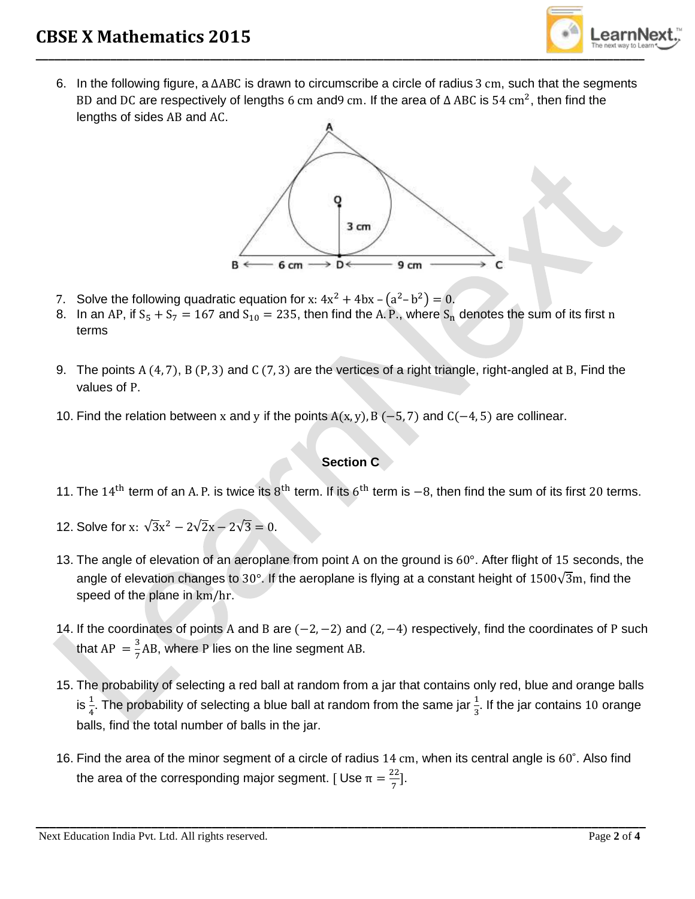

6. In the following figure, a ∆ABC is drawn to circumscribe a circle of radius 3 cm, such that the segments BD and DC are respectively of lengths 6 cm and9 cm. If the area of  $\Delta$  ABC is 54 cm<sup>2</sup>, then find the lengths of sides AB and AC.



- 7. Solve the following quadratic equation for x:  $4x^2 + 4bx (a^2-b^2) = 0$ .
- 8. In an AP, if  $S_5 + S_7 = 167$  and  $S_{10} = 235$ , then find the A. P., where  $S_n$  denotes the sum of its first n terms
- 9. The points A (4, 7), B (P, 3) and C (7, 3) are the vertices of a right triangle, right-angled at B, Find the values of P.
- 10. Find the relation between x and y if the points  $A(x, y)$ , B (-5, 7) and C(-4, 5) are collinear.

### **Section C**

- 11. The 14<sup>th</sup> term of an A. P. is twice its 8<sup>th</sup> term. If its 6<sup>th</sup> term is  $-8$ , then find the sum of its first 20 terms.
- 12. Solve for x:  $\sqrt{3}x^2 2\sqrt{2}x 2\sqrt{3} = 0$ .
- 13. The angle of elevation of an aeroplane from point A on the ground is 60°. After flight of 15 seconds, the angle of elevation changes to 30°. If the aeroplane is flying at a constant height of 1500 $\sqrt{3}$ m, find the speed of the plane in km/hr.
- 14. If the coordinates of points A and B are (−2, −2) and (2, −4) respectively, find the coordinates of P such that AP  $=\frac{3}{7}$  $\frac{3}{7}$ AB, where P lies on the line segment AB.
- 15. The probability of selecting a red ball at random from a jar that contains only red, blue and orange balls is  $\frac{1}{4}$ . The probability of selecting a blue ball at random from the same jar  $\frac{1}{3}$ . If the jar contains 10 orange balls, find the total number of balls in the jar.
- 16. Find the area of the minor segment of a circle of radius 14 cm, when its central angle is 60˚. Also find the area of the corresponding major segment. [Use  $π = \frac{22}{π}$  $\frac{22}{7}$ ].

**\_\_\_\_\_\_\_\_\_\_\_\_\_\_\_\_\_\_\_\_\_\_\_\_\_\_\_\_\_\_\_\_\_\_\_\_\_\_\_\_\_\_\_\_\_\_\_\_\_\_\_\_\_\_\_\_\_\_\_\_\_\_\_\_\_\_\_\_\_\_\_\_\_\_\_\_\_\_\_\_\_\_\_\_\_\_\_\_\_\_**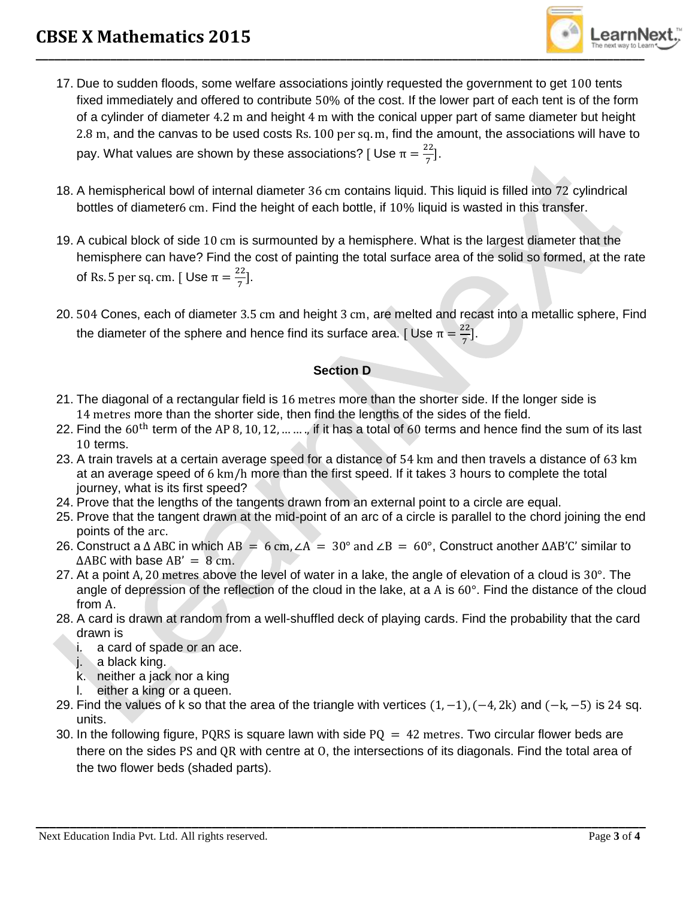

- 17. Due to sudden floods, some welfare associations jointly requested the government to get 100 tents fixed immediately and offered to contribute 50% of the cost. If the lower part of each tent is of the form of a cylinder of diameter 4.2 m and height 4 m with the conical upper part of same diameter but height 2.8 m, and the canvas to be used costs Rs. 100 per sq. m, find the amount, the associations will have to pay. What values are shown by these associations? [Use  $π = \frac{22}{π}$  $\frac{22}{7}$ ].
- 18. A hemispherical bowl of internal diameter 36 cm contains liquid. This liquid is filled into 72 cylindrical bottles of diameter6 cm. Find the height of each bottle, if 10% liquid is wasted in this transfer.
- 19. A cubical block of side 10 cm is surmounted by a hemisphere. What is the largest diameter that the hemisphere can have? Find the cost of painting the total surface area of the solid so formed, at the rate of Rs. 5 per sq. cm. [Use  $\pi = \frac{22}{7}$  $\frac{22}{7}$ ].
- 20. 504 Cones, each of diameter 3.5 cm and height 3 cm, are melted and recast into a metallic sphere, Find the diameter of the sphere and hence find its surface area. [Use  $π = \frac{22}{π}$  $\frac{22}{7}$ .

## **Section D**

- 21. The diagonal of a rectangular field is 16 metres more than the shorter side. If the longer side is 14 metres more than the shorter side, then find the lengths of the sides of the field.
- 22. Find the  $60^{\text{th}}$  term of the AP 8, 10, 12, ...  $\dots$ , if it has a total of 60 terms and hence find the sum of its last 10 terms.
- 23. A train travels at a certain average speed for a distance of 54 km and then travels a distance of 63 km at an average speed of 6 km/h more than the first speed. If it takes 3 hours to complete the total journey, what is its first speed?
- 24. Prove that the lengths of the tangents drawn from an external point to a circle are equal.
- 25. Prove that the tangent drawn at the mid-point of an arc of a circle is parallel to the chord joining the end points of the arc.
- 26. Construct a  $\triangle$  ABC in which AB = 6 cm,  $\angle A = 30^{\circ}$  and  $\angle B = 60^{\circ}$ , Construct another  $\triangle AB'C'$  similar to  $\triangle$ ABC with base AB' = 8 cm.
- 27. At a point A, 20 metres above the level of water in a lake, the angle of elevation of a cloud is 30°. The angle of depression of the reflection of the cloud in the lake, at a A is 60°. Find the distance of the cloud from A.
- 28. A card is drawn at random from a well-shuffled deck of playing cards. Find the probability that the card drawn is
	- i. a card of spade or an ace.
	- j. a black king.
	- k. neither a jack nor a king
	- l. either a king or a queen.
- 29. Find the values of k so that the area of the triangle with vertices (1, -1), (-4, 2k) and (-k, -5) is 24 sq. units.
- 30. In the following figure, PQRS is square lawn with side  $PQ = 42$  metres. Two circular flower beds are there on the sides PS and QR with centre at O, the intersections of its diagonals. Find the total area of the two flower beds (shaded parts).

**\_\_\_\_\_\_\_\_\_\_\_\_\_\_\_\_\_\_\_\_\_\_\_\_\_\_\_\_\_\_\_\_\_\_\_\_\_\_\_\_\_\_\_\_\_\_\_\_\_\_\_\_\_\_\_\_\_\_\_\_\_\_\_\_\_\_\_\_\_\_\_\_\_\_\_\_\_\_\_\_\_\_\_\_\_\_\_\_\_\_**